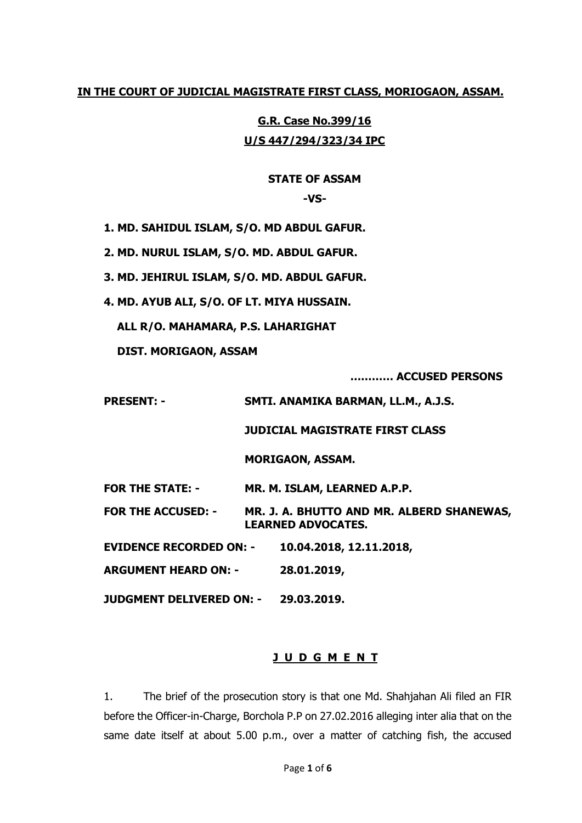# **IN THE COURT OF JUDICIAL MAGISTRATE FIRST CLASS, MORIOGAON, ASSAM.**

**G.R. Case No.399/16 U/S 447/294/323/34 IPC** 

# **STATE OF ASSAM**

**-VS-**

**1. MD. SAHIDUL ISLAM, S/O. MD ABDUL GAFUR.**

**2. MD. NURUL ISLAM, S/O. MD. ABDUL GAFUR.**

**3. MD. JEHIRUL ISLAM, S/O. MD. ABDUL GAFUR.**

**4. MD. AYUB ALI, S/O. OF LT. MIYA HUSSAIN.**

**ALL R/O. MAHAMARA, P.S. LAHARIGHAT**

**DIST. MORIGAON, ASSAM**

**………… ACCUSED PERSONS**

**PRESENT: - SMTI. ANAMIKA BARMAN, LL.M., A.J.S.**

**JUDICIAL MAGISTRATE FIRST CLASS**

**MORIGAON, ASSAM.**

**FOR THE STATE: - MR. M. ISLAM, LEARNED A.P.P.**

**FOR THE ACCUSED: - MR. J. A. BHUTTO AND MR. ALBERD SHANEWAS, LEARNED ADVOCATES.**

**EVIDENCE RECORDED ON: - 10.04.2018, 12.11.2018,**

**ARGUMENT HEARD ON: - 28.01.2019,**

**JUDGMENT DELIVERED ON: - 29.03.2019.**

### **J U D G M E N T**

1. The brief of the prosecution story is that one Md. Shahjahan Ali filed an FIR before the Officer-in-Charge, Borchola P.P on 27.02.2016 alleging inter alia that on the same date itself at about 5.00 p.m., over a matter of catching fish, the accused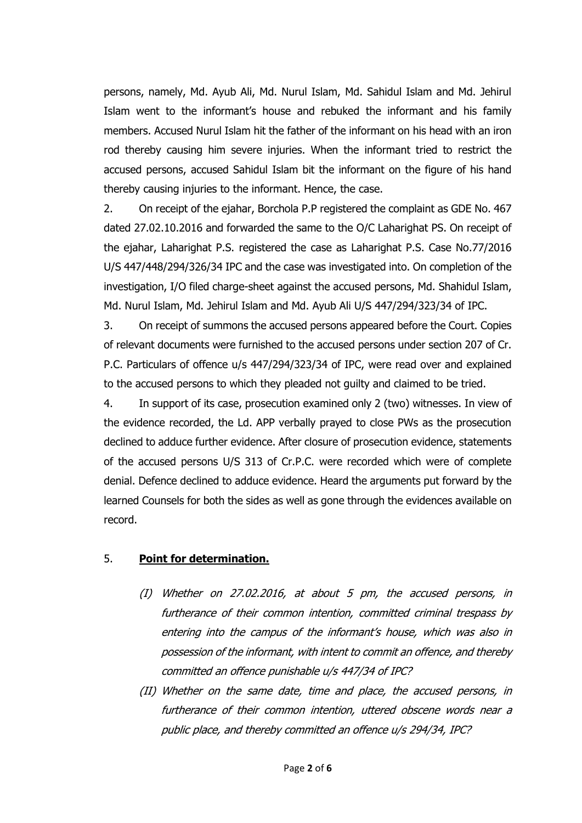persons, namely, Md. Ayub Ali, Md. Nurul Islam, Md. Sahidul Islam and Md. Jehirul Islam went to the informant's house and rebuked the informant and his family members. Accused Nurul Islam hit the father of the informant on his head with an iron rod thereby causing him severe injuries. When the informant tried to restrict the accused persons, accused Sahidul Islam bit the informant on the figure of his hand thereby causing injuries to the informant. Hence, the case.

2. On receipt of the ejahar, Borchola P.P registered the complaint as GDE No. 467 dated 27.02.10.2016 and forwarded the same to the O/C Laharighat PS. On receipt of the ejahar, Laharighat P.S. registered the case as Laharighat P.S. Case No.77/2016 U/S 447/448/294/326/34 IPC and the case was investigated into. On completion of the investigation, I/O filed charge-sheet against the accused persons, Md. Shahidul Islam, Md. Nurul Islam, Md. Jehirul Islam and Md. Ayub Ali U/S 447/294/323/34 of IPC.

3. On receipt of summons the accused persons appeared before the Court. Copies of relevant documents were furnished to the accused persons under section 207 of Cr. P.C. Particulars of offence u/s 447/294/323/34 of IPC, were read over and explained to the accused persons to which they pleaded not guilty and claimed to be tried.

4. In support of its case, prosecution examined only 2 (two) witnesses. In view of the evidence recorded, the Ld. APP verbally prayed to close PWs as the prosecution declined to adduce further evidence. After closure of prosecution evidence, statements of the accused persons U/S 313 of Cr.P.C. were recorded which were of complete denial. Defence declined to adduce evidence. Heard the arguments put forward by the learned Counsels for both the sides as well as gone through the evidences available on record.

### 5. **Point for determination.**

- (I) Whether on 27.02.2016, at about 5 pm, the accused persons, in furtherance of their common intention, committed criminal trespass by entering into the campus of the informant's house, which was also in possession of the informant, with intent to commit an offence, and thereby committed an offence punishable u/s 447/34 of IPC?
- (II) Whether on the same date, time and place, the accused persons, in furtherance of their common intention, uttered obscene words near <sup>a</sup> public place, and thereby committed an offence u/s 294/34, IPC?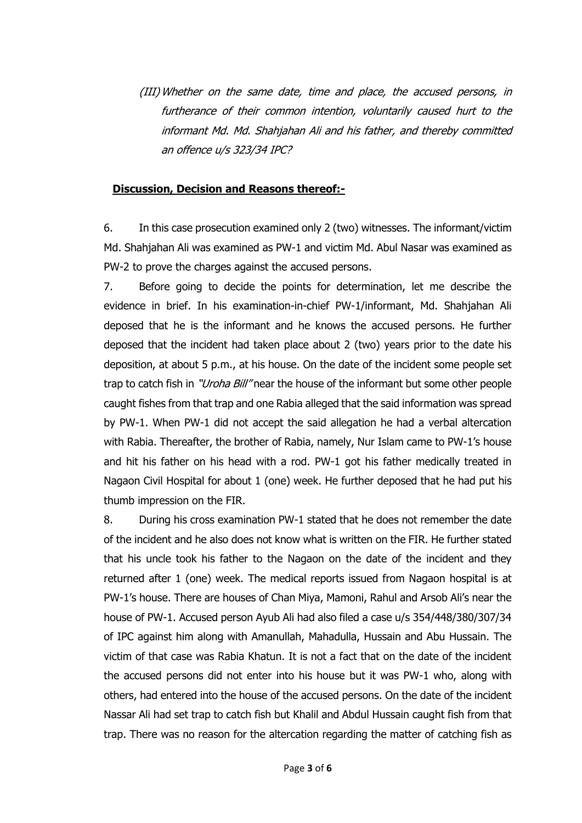(III) Whether on the same date, time and place, the accused persons, in furtherance of their common intention, voluntarily caused hurt to the informant Md. Md. Shahjahan Ali and his father, and thereby committed an offence u/s 323/34 IPC?

### **Discussion, Decision and Reasons thereof:-**

6. In this case prosecution examined only 2 (two) witnesses. The informant/victim Md. Shahjahan Ali was examined as PW-1 and victim Md. Abul Nasar was examined as PW-2 to prove the charges against the accused persons.

7. Before going to decide the points for determination, let me describe the evidence in brief. In his examination-in-chief PW-1/informant, Md. Shahjahan Ali deposed that he is the informant and he knows the accused persons. He further deposed that the incident had taken place about 2 (two) years prior to the date his deposition, at about 5 p.m., at his house. On the date of the incident some people set trap to catch fish in "*Uroha Bill"* near the house of the informant but some other people caught fishes from that trap and one Rabia alleged that the said information was spread by PW-1. When PW-1 did not accept the said allegation he had a verbal altercation with Rabia. Thereafter, the brother of Rabia, namely, Nur Islam came to PW-1's house and hit his father on his head with a rod. PW-1 got his father medically treated in Nagaon Civil Hospital for about 1 (one) week. He further deposed that he had put his thumb impression on the FIR.

8. During his cross examination PW-1 stated that he does not remember the date of the incident and he also does not know what is written on the FIR. He further stated that his uncle took his father to the Nagaon on the date of the incident and they returned after 1 (one) week. The medical reports issued from Nagaon hospital is at PW-1's house. There are houses of Chan Miya, Mamoni, Rahul and Arsob Ali's near the house of PW-1. Accused person Ayub Ali had also filed a case u/s 354/448/380/307/34 of IPC against him along with Amanullah, Mahadulla, Hussain and Abu Hussain. The victim of that case was Rabia Khatun. It is not a fact that on the date of the incident the accused persons did not enter into his house but it was PW-1 who, along with others, had entered into the house of the accused persons. On the date of the incident Nassar Ali had set trap to catch fish but Khalil and Abdul Hussain caught fish from that trap. There was no reason for the altercation regarding the matter of catching fish as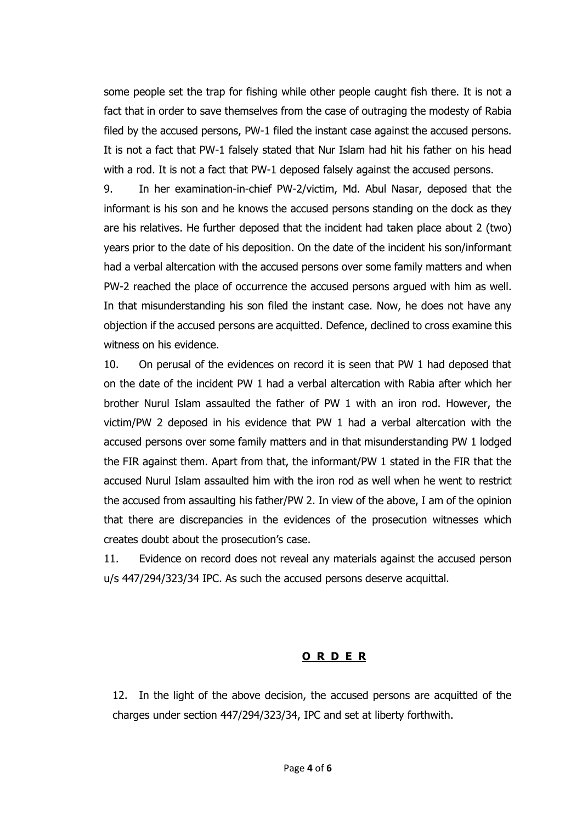some people set the trap for fishing while other people caught fish there. It is not a fact that in order to save themselves from the case of outraging the modesty of Rabia filed by the accused persons, PW-1 filed the instant case against the accused persons. It is not a fact that PW-1 falsely stated that Nur Islam had hit his father on his head with a rod. It is not a fact that PW-1 deposed falsely against the accused persons.

9. In her examination-in-chief PW-2/victim, Md. Abul Nasar, deposed that the informant is his son and he knows the accused persons standing on the dock as they are his relatives. He further deposed that the incident had taken place about 2 (two) years prior to the date of his deposition. On the date of the incident his son/informant had a verbal altercation with the accused persons over some family matters and when PW-2 reached the place of occurrence the accused persons argued with him as well. In that misunderstanding his son filed the instant case. Now, he does not have any objection if the accused persons are acquitted. Defence, declined to cross examine this witness on his evidence.

10. On perusal of the evidences on record it is seen that PW 1 had deposed that on the date of the incident PW 1 had a verbal altercation with Rabia after which her brother Nurul Islam assaulted the father of PW 1 with an iron rod. However, the victim/PW 2 deposed in his evidence that PW 1 had a verbal altercation with the accused persons over some family matters and in that misunderstanding PW 1 lodged the FIR against them. Apart from that, the informant/PW 1 stated in the FIR that the accused Nurul Islam assaulted him with the iron rod as well when he went to restrict the accused from assaulting his father/PW 2. In view of the above, I am of the opinion that there are discrepancies in the evidences of the prosecution witnesses which creates doubt about the prosecution's case.

11. Evidence on record does not reveal any materials against the accused person u/s 447/294/323/34 IPC. As such the accused persons deserve acquittal.

### **O R D E R**

12. In the light of the above decision, the accused persons are acquitted of the charges under section 447/294/323/34, IPC and set at liberty forthwith.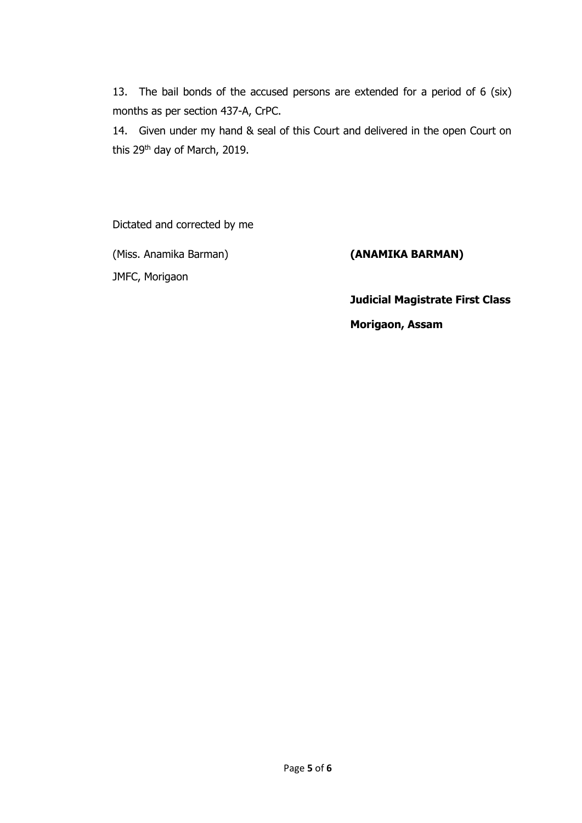13. The bail bonds of the accused persons are extended for a period of 6 (six) months as per section 437-A, CrPC.

14. Given under my hand & seal of this Court and delivered in the open Court on this 29th day of March, 2019.

Dictated and corrected by me

(Miss. Anamika Barman) **(ANAMIKA BARMAN)**

JMFC, Morigaon

**Judicial Magistrate First Class**

**Morigaon, Assam**